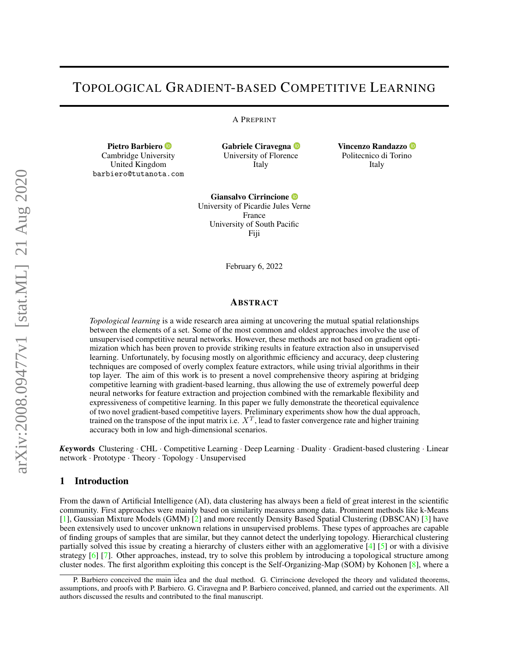# TOPOLOGICAL GRADIENT-BASED COMPETITIVE LEARNING

A PREPRINT

Pietro Barbiero <sup>®</sup> Cambridge Univer[sity](https://orcid.org/0000-0003-3155-2564) United Kingdom barbiero@tutanota.com Gabriele Ciravegna <sup>D</sup> University of Floren[ce](https://orcid.org/0000-0002-6799-1043) Italy

Vincenzo Randazzo Politecnico di Torin[o](https://orcid.org/0000-0003-3640-8561) Italy

Giansalvo Cirrincione University of Picardie Jules [Ve](https://orcid.org/0000-0002-2894-4164)rne France University of South Pacific Fiji

February 6, 2022

## ABSTRACT

*Topological learning* is a wide research area aiming at uncovering the mutual spatial relationships between the elements of a set. Some of the most common and oldest approaches involve the use of unsupervised competitive neural networks. However, these methods are not based on gradient optimization which has been proven to provide striking results in feature extraction also in unsupervised learning. Unfortunately, by focusing mostly on algorithmic efficiency and accuracy, deep clustering techniques are composed of overly complex feature extractors, while using trivial algorithms in their top layer. The aim of this work is to present a novel comprehensive theory aspiring at bridging competitive learning with gradient-based learning, thus allowing the use of extremely powerful deep neural networks for feature extraction and projection combined with the remarkable flexibility and expressiveness of competitive learning. In this paper we fully demonstrate the theoretical equivalence of two novel gradient-based competitive layers. Preliminary experiments show how the dual approach, trained on the transpose of the input matrix i.e.  $X^T$ , lead to faster convergence rate and higher training accuracy both in low and high-dimensional scenarios.

*K*eywords Clustering · CHL · Competitive Learning · Deep Learning · Duality · Gradient-based clustering · Linear network · Prototype · Theory · Topology · Unsupervised

## 1 Introduction

From the dawn of Artificial Intelligence (AI), data clustering has always been a field of great interest in the scientific community. First approaches were mainly based on similarity measures among data. Prominent methods like k-Means [\[1\]](#page-10-0), Gaussian Mixture Models (GMM) [\[2\]](#page-10-1) and more recently Density Based Spatial Clustering (DBSCAN) [\[3\]](#page-10-2) have been extensively used to uncover unknown relations in unsupervised problems. These types of approaches are capable of finding groups of samples that are similar, but they cannot detect the underlying topology. Hierarchical clustering partially solved this issue by creating a hierarchy of clusters either with an agglomerative [\[4\]](#page-10-3) [\[5\]](#page-10-4) or with a divisive strategy [\[6\]](#page-10-5) [\[7\]](#page-10-6). Other approaches, instead, try to solve this problem by introducing a topological structure among cluster nodes. The first algorithm exploiting this concept is the Self-Organizing-Map (SOM) by Kohonen [\[8\]](#page-10-7), where a

P. Barbiero conceived the main idea and the dual method. G. Cirrincione developed the theory and validated theorems, assumptions, and proofs with P. Barbiero. G. Ciravegna and P. Barbiero conceived, planned, and carried out the experiments. All authors discussed the results and contributed to the final manuscript.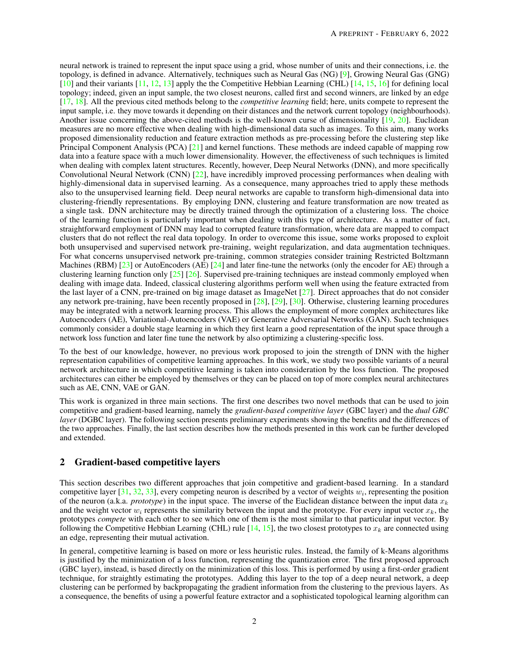neural network is trained to represent the input space using a grid, whose number of units and their connections, i.e. the topology, is defined in advance. Alternatively, techniques such as Neural Gas (NG) [\[9\]](#page-10-8), Growing Neural Gas (GNG) [\[10\]](#page-10-9) and their variants [\[11,](#page-10-10) [12,](#page-10-11) [13\]](#page-10-12) apply the the Competitive Hebbian Learning (CHL) [\[14,](#page-10-13) [15,](#page-10-14) [16\]](#page-10-15) for defining local topology; indeed, given an input sample, the two closest neurons, called first and second winners, are linked by an edge [\[17,](#page-10-16) [18\]](#page-10-17). All the previous cited methods belong to the *competitive learning* field; here, units compete to represent the input sample, i.e. they move towards it depending on their distances and the network current topology (neighbourhoods). Another issue concerning the above-cited methods is the well-known curse of dimensionality [\[19,](#page-10-18) [20\]](#page-10-19). Euclidean measures are no more effective when dealing with high-dimensional data such as images. To this aim, many works proposed dimensionality reduction and feature extraction methods as pre-processing before the clustering step like Principal Component Analysis (PCA) [\[21\]](#page-10-20) and kernel functions. These methods are indeed capable of mapping row data into a feature space with a much lower dimensionality. However, the effectiveness of such techniques is limited when dealing with complex latent structures. Recently, however, Deep Neural Networks (DNN), and more specifically Convolutional Neural Network (CNN) [\[22\]](#page-10-21), have incredibly improved processing performances when dealing with highly-dimensional data in supervised learning. As a consequence, many approaches tried to apply these methods also to the unsupervised learning field. Deep neural networks are capable to transform high-dimensional data into clustering-friendly representations. By employing DNN, clustering and feature transformation are now treated as a single task. DNN architecture may be directly trained through the optimization of a clustering loss. The choice of the learning function is particularly important when dealing with this type of architecture. As a matter of fact, straightforward employment of DNN may lead to corrupted feature transformation, where data are mapped to compact clusters that do not reflect the real data topology. In order to overcome this issue, some works proposed to exploit both unsupervised and supervised network pre-training, weight regularization, and data augmentation techniques. For what concerns unsupervised network pre-training, common strategies consider training Restricted Boltzmann Machines (RBM)  $[23]$  or AutoEncoders (AE)  $[24]$  and later fine-tune the networks (only the encoder for AE) through a clustering learning function only  $[25]$   $[26]$ . Supervised pre-training techniques are instead commonly employed when dealing with image data. Indeed, classical clustering algorithms perform well when using the feature extracted from the last layer of a CNN, pre-trained on big image dataset as ImageNet [\[27\]](#page-11-0). Direct approaches that do not consider any network pre-training, have been recently proposed in [\[28\]](#page-11-1), [\[29\]](#page-11-2), [\[30\]](#page-11-3). Otherwise, clustering learning procedures may be integrated with a network learning process. This allows the employment of more complex architectures like Autoencoders (AE), Variational-Autoencoders (VAE) or Generative Adversarial Networks (GAN). Such techniques commonly consider a double stage learning in which they first learn a good representation of the input space through a network loss function and later fine tune the network by also optimizing a clustering-specific loss.

To the best of our knowledge, however, no previous work proposed to join the strength of DNN with the higher representation capabilities of competitive learning approaches. In this work, we study two possible variants of a neural network architecture in which competitive learning is taken into consideration by the loss function. The proposed architectures can either be employed by themselves or they can be placed on top of more complex neural architectures such as AE, CNN, VAE or GAN.

This work is organized in three main sections. The first one describes two novel methods that can be used to join competitive and gradient-based learning, namely the *gradient-based competitive layer* (GBC layer) and the *dual GBC layer* (DGBC layer). The following section presents preliminary experiments showing the benefits and the differences of the two approaches. Finally, the last section describes how the methods presented in this work can be further developed and extended.

# 2 Gradient-based competitive layers

This section describes two different approaches that join competitive and gradient-based learning. In a standard competitive layer [\[31,](#page-11-4) [32,](#page-11-5) [33\]](#page-11-6), every competing neuron is described by a vector of weights  $w_i$ , representing the position of the neuron (a.k.a. *prototype*) in the input space. The inverse of the Euclidean distance between the input data  $x_k$ and the weight vector  $w_i$  represents the similarity between the input and the prototype. For every input vector  $x_k$ , the prototypes *compete* with each other to see which one of them is the most similar to that particular input vector. By following the Competitive Hebbian Learning (CHL) rule  $[14, 15]$  $[14, 15]$  $[14, 15]$ , the two closest prototypes to  $x_k$  are connected using an edge, representing their mutual activation.

In general, competitive learning is based on more or less heuristic rules. Instead, the family of k-Means algorithms is justified by the minimization of a loss function, representing the quantization error. The first proposed approach (GBC layer), instead, is based directly on the minimization of this loss. This is performed by using a first-order gradient technique, for straightly estimating the prototypes. Adding this layer to the top of a deep neural network, a deep clustering can be performed by backpropagating the gradient information from the clustering to the previous layers. As a consequence, the benefits of using a powerful feature extractor and a sophisticated topological learning algorithm can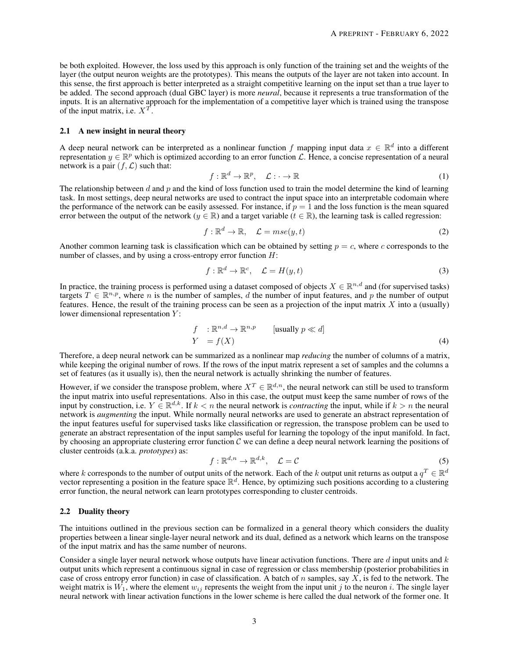be both exploited. However, the loss used by this approach is only function of the training set and the weights of the layer (the output neuron weights are the prototypes). This means the outputs of the layer are not taken into account. In this sense, the first approach is better interpreted as a straight competitive learning on the input set than a true layer to be added. The second approach (dual GBC layer) is more *neural*, because it represents a true transformation of the inputs. It is an alternative approach for the implementation of a competitive layer which is trained using the transpose of the input matrix, i.e.  $X^T$ .

#### 2.1 A new insight in neural theory

A deep neural network can be interpreted as a nonlinear function f mapping input data  $x \in \mathbb{R}^d$  into a different representation  $y \in \mathbb{R}^p$  which is optimized according to an error function  $\mathcal{L}$ . Hence, a concise representation of a neural network is a pair  $(f, \mathcal{L})$  such that:

$$
f: \mathbb{R}^d \to \mathbb{R}^p, \quad \mathcal{L}: \cdot \to \mathbb{R}
$$
 (1)

The relationship between  $d$  and  $p$  and the kind of loss function used to train the model determine the kind of learning task. In most settings, deep neural networks are used to contract the input space into an interpretable codomain where the performance of the network can be easily assessed. For instance, if  $p = 1$  and the loss function is the mean squared error between the output of the network ( $y \in \mathbb{R}$ ) and a target variable ( $t \in \mathbb{R}$ ), the learning task is called regression:

$$
f: \mathbb{R}^d \to \mathbb{R}, \quad \mathcal{L} = mse(y, t) \tag{2}
$$

Another common learning task is classification which can be obtained by setting  $p = c$ , where c corresponds to the number of classes, and by using a cross-entropy error function  $H$ :

$$
f: \mathbb{R}^d \to \mathbb{R}^c, \quad \mathcal{L} = H(y, t) \tag{3}
$$

In practice, the training process is performed using a dataset composed of objects  $X \in \mathbb{R}^{n,d}$  and (for supervised tasks) targets  $T \in \mathbb{R}^{n,p}$ , where n is the number of samples, d the number of input features, and p the number of output features. Hence, the result of the training process can be seen as a projection of the input matrix  $X$  into a (usually) lower dimensional representation  $Y$ :

$$
f : \mathbb{R}^{n,d} \to \mathbb{R}^{n,p} \qquad \text{[usually } p \ll d\text{]}
$$
\n
$$
Y = f(X) \tag{4}
$$

Therefore, a deep neural network can be summarized as a nonlinear map *reducing* the number of columns of a matrix, while keeping the original number of rows. If the rows of the input matrix represent a set of samples and the columns a set of features (as it usually is), then the neural network is actually shrinking the number of features.

However, if we consider the transpose problem, where  $X^T \in \mathbb{R}^{d,n}$ , the neural network can still be used to transform the input matrix into useful representations. Also in this case, the output must keep the same number of rows of the input by construction, i.e.  $Y \in \mathbb{R}^{d,k}$ . If  $k < n$  the neural network is *contracting* the input, while if  $k > n$  the neural network is *augmenting* the input. While normally neural networks are used to generate an abstract representation of the input features useful for supervised tasks like classification or regression, the transpose problem can be used to generate an abstract representation of the input samples useful for learning the topology of the input manifold. In fact, by choosing an appropriate clustering error function  $C$  we can define a deep neural network learning the positions of cluster centroids (a.k.a. *prototypes*) as:

$$
f: \mathbb{R}^{d,n} \to \mathbb{R}^{d,k}, \quad \mathcal{L} = \mathcal{C}
$$
 (5)

where k corresponds to the number of output units of the network. Each of the k output unit returns as output a  $q^T \in \mathbb{R}^d$ vector representing a position in the feature space  $\mathbb{R}^d$ . Hence, by optimizing such positions according to a clustering error function, the neural network can learn prototypes corresponding to cluster centroids.

### 2.2 Duality theory

The intuitions outlined in the previous section can be formalized in a general theory which considers the duality properties between a linear single-layer neural network and its dual, defined as a network which learns on the transpose of the input matrix and has the same number of neurons.

Consider a single layer neural network whose outputs have linear activation functions. There are d input units and  $k$ output units which represent a continuous signal in case of regression or class membership (posterior probabilities in case of cross entropy error function) in case of classification. A batch of n samples, say  $X$ , is fed to the network. The weight matrix is  $W_1$ , where the element  $w_{ij}$  represents the weight from the input unit j to the neuron i. The single layer neural network with linear activation functions in the lower scheme is here called the dual network of the former one. It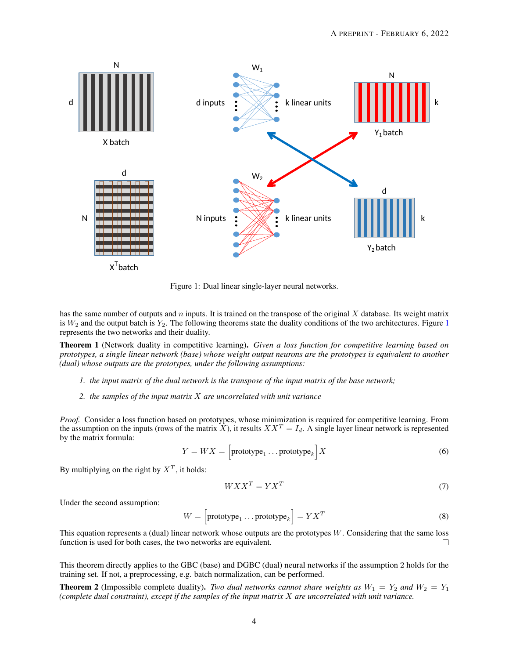

<span id="page-3-0"></span>Figure 1: Dual linear single-layer neural networks.

has the same number of outputs and  $n$  inputs. It is trained on the transpose of the original  $X$  database. Its weight matrix is  $W_2$  and the output batch is  $Y_2$ . The following theorems state the duality conditions of the two architectures. Figure [1](#page-3-0) represents the two networks and their duality.

<span id="page-3-1"></span>Theorem 1 (Network duality in competitive learning). *Given a loss function for competitive learning based on prototypes, a single linear network (base) whose weight output neurons are the prototypes is equivalent to another (dual) whose outputs are the prototypes, under the following assumptions:*

- *1. the input matrix of the dual network is the transpose of the input matrix of the base network;*
- *2. the samples of the input matrix* X *are uncorrelated with unit variance*

*Proof.* Consider a loss function based on prototypes, whose minimization is required for competitive learning. From the assumption on the inputs (rows of the matrix X), it results  $XX^T = I_d$ . A single layer linear network is represented by the matrix formula:

$$
Y = W X = \left[ \text{prototype}_1 \dots \text{prototype}_k \right] X \tag{6}
$$

By multiplying on the right by  $X^T$ , it holds:

$$
WXX^T = YX^T \tag{7}
$$

Under the second assumption:

$$
W = \left[\text{prototype}_1 \dots \text{prototype}_k\right] = Y X^T \tag{8}
$$

This equation represents a (dual) linear network whose outputs are the prototypes  $W$ . Considering that the same loss function is used for both cases, the two networks are equivalent.  $\Box$ 

This theorem directly applies to the GBC (base) and DGBC (dual) neural networks if the assumption 2 holds for the training set. If not, a preprocessing, e.g. batch normalization, can be performed.

**Theorem 2** (Impossible complete duality). *Two dual networks cannot share weights as*  $W_1 = Y_2$  *and*  $W_2 = Y_1$ *(complete dual constraint), except if the samples of the input matrix* X *are uncorrelated with unit variance.*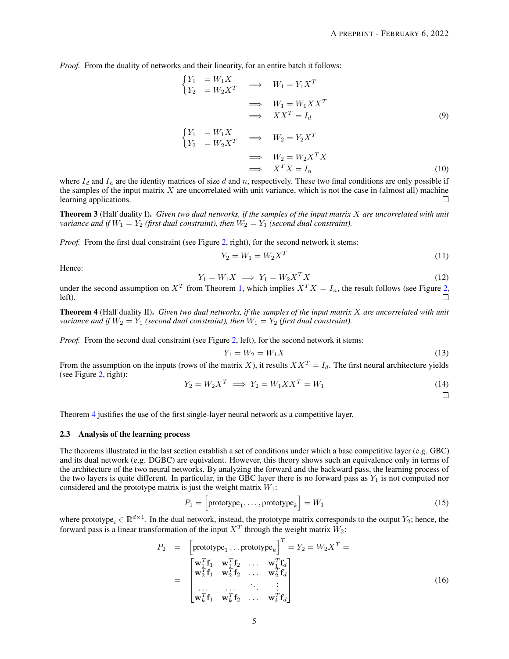*Proof.* From the duality of networks and their linearity, for an entire batch it follows:

$$
\begin{aligned}\n\begin{cases}\nY_1 &= W_1 X \\
Y_2 &= W_2 X^T\n\end{cases} &\implies \quad W_1 = Y_1 X^T \\
&\implies \quad W_1 = W_1 X X^T \\
&\implies \quad XX^T = I_d\n\end{cases} \tag{9}
$$

$$
\begin{aligned}\n\begin{cases}\nY_1 &= W_1 X \\
Y_2 &= W_2 X^T\n\end{cases} &\implies \quad W_2 = Y_2 X^T \\
&\implies \quad W_2 = W_2 X^T X \\
&\implies \quad X^T X = I_n\n\end{aligned}\n\tag{10}
$$

where  $I_d$  and  $I_n$  are the identity matrices of size d and n, respectively. These two final conditions are only possible if the samples of the input matrix  $X$  are uncorrelated with unit variance, which is not the case in (almost all) machine learning applications.  $\Box$ 

Theorem 3 (Half duality I). *Given two dual networks, if the samples of the input matrix* X *are uncorrelated with unit variance and if*  $W_1 = Y_2$  *(first dual constraint), then*  $W_2 = Y_1$  *(second dual constraint).* 

*Proof.* From the first dual constraint (see Figure [2,](#page-5-0) right), for the second network it stems:

$$
Y_2 = W_1 = W_2 X^T \tag{11}
$$

Hence:

$$
Y_1 = W_1 X \implies Y_1 = W_2 X^T X \tag{12}
$$

under the second assumption on  $X^T$  from Theorem [1,](#page-3-1) which implies  $X^T X = I_n$ , the result follows (see Figure [2,](#page-5-0) left).

<span id="page-4-0"></span>Theorem 4 (Half duality II). *Given two dual networks, if the samples of the input matrix* X *are uncorrelated with unit variance and if*  $W_2 = Y_1$  *(second dual constraint), then*  $W_1 = Y_2$  *(first dual constraint).* 

*Proof.* From the second dual constraint (see Figure [2,](#page-5-0) left), for the second network it stems:

$$
Y_1 = W_2 = W_1 X \tag{13}
$$

From the assumption on the inputs (rows of the matrix X), it results  $XX^T = I_d$ . The first neural architecture yields (see Figure [2,](#page-5-0) right):

$$
Y_2 = W_2 X^T \implies Y_2 = W_1 X X^T = W_1 \tag{14}
$$

 $\Box$ 

Theorem [4](#page-4-0) justifies the use of the first single-layer neural network as a competitive layer.

## 2.3 Analysis of the learning process

The theorems illustrated in the last section establish a set of conditions under which a base competitive layer (e.g. GBC) and its dual network (e.g. DGBC) are equivalent. However, this theory shows such an equivalence only in terms of the architecture of the two neural networks. By analyzing the forward and the backward pass, the learning process of the two layers is quite different. In particular, in the GBC layer there is no forward pass as  $Y_1$  is not computed nor considered and the prototype matrix is just the weight matrix  $W_1$ :

$$
P_1 = \left[ \text{prototype}_1, \dots, \text{prototype}_k \right] = W_1 \tag{15}
$$

where prototype<sub>i</sub>  $\in \mathbb{R}^{d \times 1}$ . In the dual network, instead, the prototype matrix corresponds to the output  $Y_2$ ; hence, the forward pass is a linear transformation of the input  $X^T$  through the weight matrix  $W_2$ :

$$
P_2 = \begin{bmatrix} \text{prototype}_1 \dots \text{prototype}_k \end{bmatrix}^T = Y_2 = W_2 X^T = \\ = \begin{bmatrix} \mathbf{w}_1^T \mathbf{f}_1 & \mathbf{w}_1^T \mathbf{f}_2 & \dots & \mathbf{w}_1^T \mathbf{f}_d \\ \mathbf{w}_2^T \mathbf{f}_1 & \mathbf{w}_2^T \mathbf{f}_2 & \dots & \mathbf{w}_2^T \mathbf{f}_d \\ \dots & \dots & \vdots \\ \mathbf{w}_k^T \mathbf{f}_1 & \mathbf{w}_k^T \mathbf{f}_2 & \dots & \mathbf{w}_k^T \mathbf{f}_d \end{bmatrix}
$$
(16)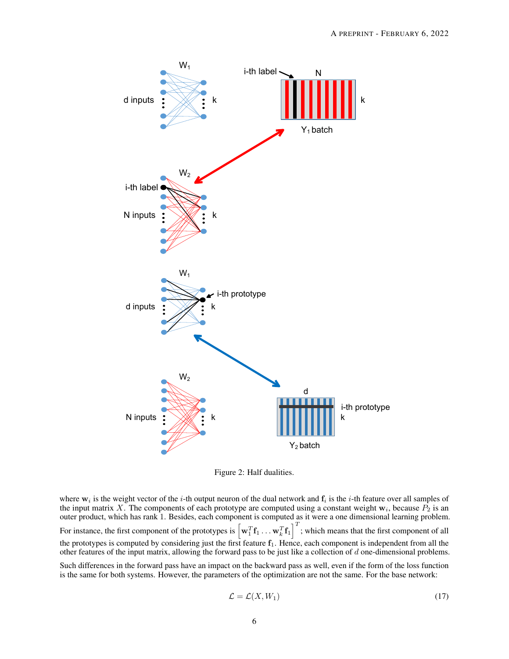

<span id="page-5-0"></span>Figure 2: Half dualities.

where  $w_i$  is the weight vector of the *i*-th output neuron of the dual network and  $f_i$  is the *i*-th feature over all samples of the input matrix X. The components of each prototype are computed using a constant weight  $w_i$ , because  $P_2$  is an outer product, which has rank 1. Besides, each component is computed as it were a one dimensional learning problem. For instance, the first component of the prototypes is  $\left[\mathbf{w}_1^T\mathbf{f}_1 \dots \mathbf{w}_k^T\mathbf{f}_1\right]^T$ ; which means that the first component of all  $\mathcal{I}^T$ the prototypes is computed by considering just the first feature  $f_1$ . Hence, each component is independent from all the other features of the input matrix, allowing the forward pass to be just like a collection of  $d$  one-dimensional problems.

Such differences in the forward pass have an impact on the backward pass as well, even if the form of the loss function is the same for both systems. However, the parameters of the optimization are not the same. For the base network:

$$
\mathcal{L} = \mathcal{L}(X, W_1) \tag{17}
$$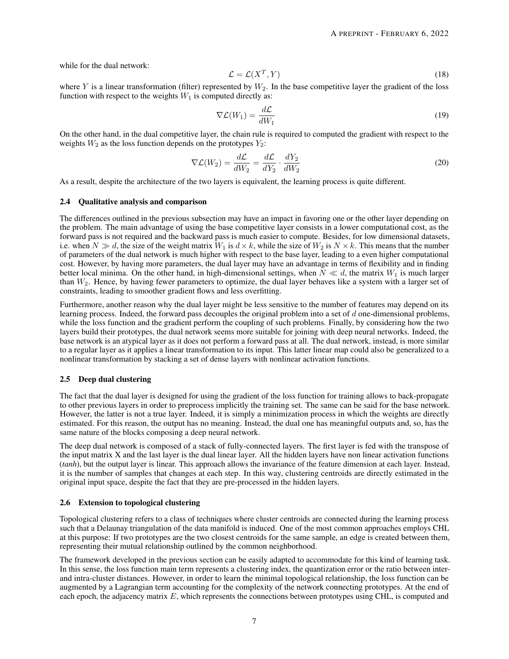while for the dual network:

$$
\mathcal{L} = \mathcal{L}(X^T, Y) \tag{18}
$$

where Y is a linear transformation (filter) represented by  $W_2$ . In the base competitive layer the gradient of the loss function with respect to the weights  $W_1$  is computed directly as:

$$
\nabla \mathcal{L}(W_1) = \frac{d\mathcal{L}}{dW_1}
$$
 (19)

On the other hand, in the dual competitive layer, the chain rule is required to computed the gradient with respect to the weights  $W_2$  as the loss function depends on the prototypes  $Y_2$ :

$$
\nabla \mathcal{L}(W_2) = \frac{d\mathcal{L}}{dW_2} = \frac{d\mathcal{L}}{dY_2} \cdot \frac{dY_2}{dW_2}
$$
\n(20)

As a result, despite the architecture of the two layers is equivalent, the learning process is quite different.

#### 2.4 Qualitative analysis and comparison

The differences outlined in the previous subsection may have an impact in favoring one or the other layer depending on the problem. The main advantage of using the base competitive layer consists in a lower computational cost, as the forward pass is not required and the backward pass is much easier to compute. Besides, for low dimensional datasets, i.e. when  $N \gg d$ , the size of the weight matrix  $W_1$  is  $d \times k$ , while the size of  $W_2$  is  $N \times k$ . This means that the number of parameters of the dual network is much higher with respect to the base layer, leading to a even higher computational cost. However, by having more parameters, the dual layer may have an advantage in terms of flexibility and in finding better local minima. On the other hand, in high-dimensional settings, when  $N \ll d$ , the matrix  $W_1$  is much larger than  $W_2$ . Hence, by having fewer parameters to optimize, the dual layer behaves like a system with a larger set of constraints, leading to smoother gradient flows and less overfitting.

Furthermore, another reason why the dual layer might be less sensitive to the number of features may depend on its learning process. Indeed, the forward pass decouples the original problem into a set of d one-dimensional problems, while the loss function and the gradient perform the coupling of such problems. Finally, by considering how the two layers build their prototypes, the dual network seems more suitable for joining with deep neural networks. Indeed, the base network is an atypical layer as it does not perform a forward pass at all. The dual network, instead, is more similar to a regular layer as it applies a linear transformation to its input. This latter linear map could also be generalized to a nonlinear transformation by stacking a set of dense layers with nonlinear activation functions.

#### 2.5 Deep dual clustering

The fact that the dual layer is designed for using the gradient of the loss function for training allows to back-propagate to other previous layers in order to preprocess implicitly the training set. The same can be said for the base network. However, the latter is not a true layer. Indeed, it is simply a minimization process in which the weights are directly estimated. For this reason, the output has no meaning. Instead, the dual one has meaningful outputs and, so, has the same nature of the blocks composing a deep neural network.

The deep dual network is composed of a stack of fully-connected layers. The first layer is fed with the transpose of the input matrix X and the last layer is the dual linear layer. All the hidden layers have non linear activation functions (*tanh*), but the output layer is linear. This approach allows the invariance of the feature dimension at each layer. Instead, it is the number of samples that changes at each step. In this way, clustering centroids are directly estimated in the original input space, despite the fact that they are pre-processed in the hidden layers.

#### 2.6 Extension to topological clustering

Topological clustering refers to a class of techniques where cluster centroids are connected during the learning process such that a Delaunay triangulation of the data manifold is induced. One of the most common approaches employs CHL at this purpose: If two prototypes are the two closest centroids for the same sample, an edge is created between them, representing their mutual relationship outlined by the common neighborhood.

The framework developed in the previous section can be easily adapted to accommodate for this kind of learning task. In this sense, the loss function main term represents a clustering index, the quantization error or the ratio between interand intra-cluster distances. However, in order to learn the minimal topological relationship, the loss function can be augmented by a Lagrangian term accounting for the complexity of the network connecting prototypes. At the end of each epoch, the adjacency matrix E, which represents the connections between prototypes using CHL, is computed and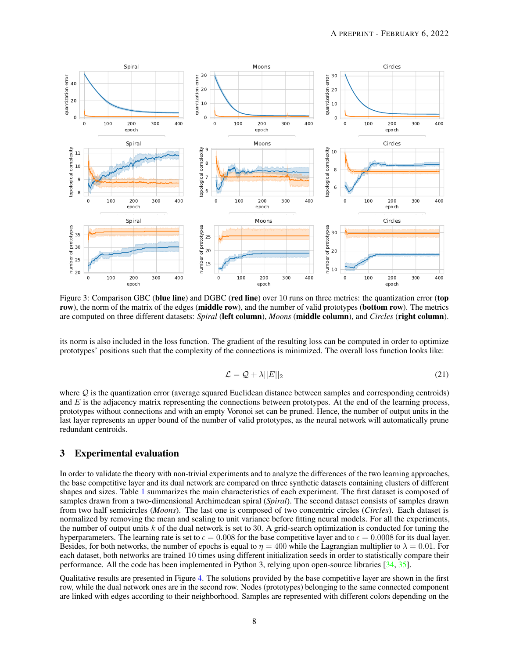

<span id="page-7-0"></span>Figure 3: Comparison GBC (blue line) and DGBC (red line) over 10 runs on three metrics: the quantization error (top row), the norm of the matrix of the edges (middle row), and the number of valid prototypes (bottom row). The metrics are computed on three different datasets: *Spiral* (left column), *Moons* (middle column), and *Circles* (right column).

its norm is also included in the loss function. The gradient of the resulting loss can be computed in order to optimize prototypes' positions such that the complexity of the connections is minimized. The overall loss function looks like:

$$
\mathcal{L} = \mathcal{Q} + \lambda ||E||_2 \tag{21}
$$

where  $Q$  is the quantization error (average squared Euclidean distance between samples and corresponding centroids) and  $E$  is the adjacency matrix representing the connections between prototypes. At the end of the learning process, prototypes without connections and with an empty Voronoi set can be pruned. Hence, the number of output units in the last layer represents an upper bound of the number of valid prototypes, as the neural network will automatically prune redundant centroids.

# 3 Experimental evaluation

In order to validate the theory with non-trivial experiments and to analyze the differences of the two learning approaches, the base competitive layer and its dual network are compared on three synthetic datasets containing clusters of different shapes and sizes. Table [1](#page-8-0) summarizes the main characteristics of each experiment. The first dataset is composed of samples drawn from a two-dimensional Archimedean spiral (*Spiral*). The second dataset consists of samples drawn from two half semicircles (*Moons*). The last one is composed of two concentric circles (*Circles*). Each dataset is normalized by removing the mean and scaling to unit variance before fitting neural models. For all the experiments, the number of output units  $k$  of the dual network is set to 30. A grid-search optimization is conducted for tuning the hyperparameters. The learning rate is set to  $\epsilon = 0.008$  for the base competitive layer and to  $\epsilon = 0.0008$  for its dual layer. Besides, for both networks, the number of epochs is equal to  $\eta = 400$  while the Lagrangian multiplier to  $\lambda = 0.01$ . For each dataset, both networks are trained 10 times using different initialization seeds in order to statistically compare their performance. All the code has been implemented in Python 3, relying upon open-source libraries [\[34,](#page-11-7) [35\]](#page-11-8).

Qualitative results are presented in Figure [4.](#page-8-1) The solutions provided by the base competitive layer are shown in the first row, while the dual network ones are in the second row. Nodes (prototypes) belonging to the same connected component are linked with edges according to their neighborhood. Samples are represented with different colors depending on the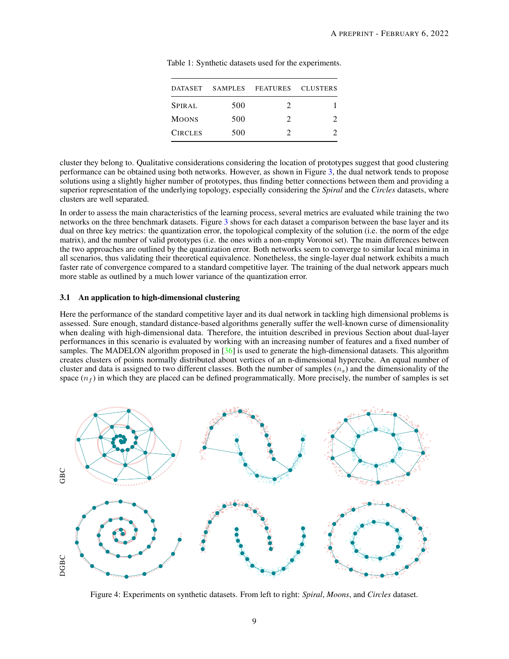| DATASET        |     | SAMPLES FEATURES CLUSTERS |  |
|----------------|-----|---------------------------|--|
| SPIRAL         | 500 |                           |  |
| <b>MOONS</b>   | 500 | 7                         |  |
| <b>CIRCLES</b> | 500 |                           |  |

<span id="page-8-0"></span>Table 1: Synthetic datasets used for the experiments.

cluster they belong to. Qualitative considerations considering the location of prototypes suggest that good clustering performance can be obtained using both networks. However, as shown in Figure [3,](#page-7-0) the dual network tends to propose solutions using a slightly higher number of prototypes, thus finding better connections between them and providing a superior representation of the underlying topology, especially considering the *Spiral* and the *Circles* datasets, where clusters are well separated.

In order to assess the main characteristics of the learning process, several metrics are evaluated while training the two networks on the three benchmark datasets. Figure [3](#page-7-0) shows for each dataset a comparison between the base layer and its dual on three key metrics: the quantization error, the topological complexity of the solution (i.e. the norm of the edge matrix), and the number of valid prototypes (i.e. the ones with a non-empty Voronoi set). The main differences between the two approaches are outlined by the quantization error. Both networks seem to converge to similar local minima in all scenarios, thus validating their theoretical equivalence. Nonetheless, the single-layer dual network exhibits a much faster rate of convergence compared to a standard competitive layer. The training of the dual network appears much more stable as outlined by a much lower variance of the quantization error.

## 3.1 An application to high-dimensional clustering

Here the performance of the standard competitive layer and its dual network in tackling high dimensional problems is assessed. Sure enough, standard distance-based algorithms generally suffer the well-known curse of dimensionality when dealing with high-dimensional data. Therefore, the intuition described in previous Section about dual-layer performances in this scenario is evaluated by working with an increasing number of features and a fixed number of samples. The MADELON algorithm proposed in  $\left[36\right]$  is used to generate the high-dimensional datasets. This algorithm creates clusters of points normally distributed about vertices of an n-dimensional hypercube. An equal number of cluster and data is assigned to two different classes. Both the number of samples  $(n<sub>s</sub>)$  and the dimensionality of the space  $(n_f)$  in which they are placed can be defined programmatically. More precisely, the number of samples is set



<span id="page-8-1"></span>Figure 4: Experiments on synthetic datasets. From left to right: *Spiral*, *Moons*, and *Circles* dataset.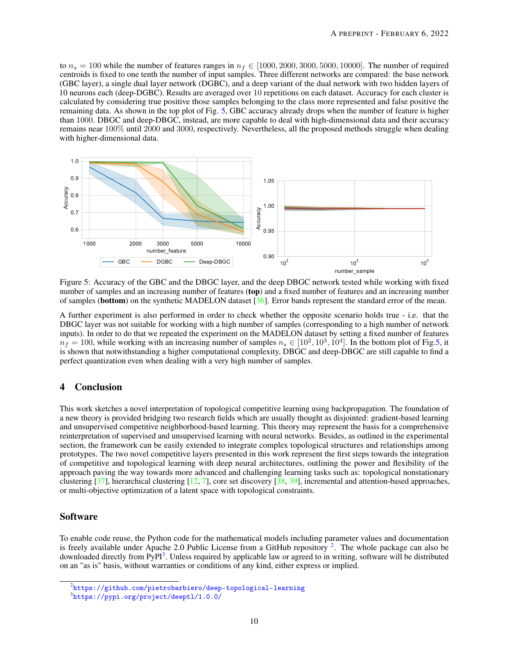to  $n_s = 100$  while the number of features ranges in  $n_f \in [1000, 2000, 3000, 5000, 10000]$ . The number of required centroids is fixed to one tenth the number of input samples. Three different networks are compared: the base network (GBC layer), a single dual layer network (DGBC), and a deep variant of the dual network with two hidden layers of 10 neurons each (deep-DGBC). Results are averaged over 10 repetitions on each dataset. Accuracy for each cluster is calculated by considering true positive those samples belonging to the class more represented and false positive the remaining data. As shown in the top plot of Fig. [5,](#page-9-0) GBC accuracy already drops when the number of feature is higher than 1000. DBGC and deep-DBGC, instead, are more capable to deal with high-dimensional data and their accuracy remains near 100% until 2000 and 3000, respectively. Nevertheless, all the proposed methods struggle when dealing with higher-dimensional data.



<span id="page-9-0"></span>Figure 5: Accuracy of the GBC and the DBGC layer, and the deep DBGC network tested while working with fixed number of samples and an increasing number of features (top) and a fixed number of features and an increasing number of samples (bottom) on the synthetic MADELON dataset [\[36\]](#page-11-9). Error bands represent the standard error of the mean.

A further experiment is also performed in order to check whether the opposite scenario holds true - i.e. that the DBGC layer was not suitable for working with a high number of samples (corresponding to a high number of network inputs). In order to do that we repeated the experiment on the MADELON dataset by setting a fixed number of features  $n_f = 100$ , while working with an increasing number of samples  $n_s \in [10^2, 10^3, 10^4]$ . In the bottom plot of Fig[.5,](#page-9-0) it is shown that notwithstanding a higher computational complexity, DBGC and deep-DBGC are still capable to find a perfect quantization even when dealing with a very high number of samples.

# 4 Conclusion

This work sketches a novel interpretation of topological competitive learning using backpropagation. The foundation of a new theory is provided bridging two research fields which are usually thought as disjointed: gradient-based learning and unsupervised competitive neighborhood-based learning. This theory may represent the basis for a comprehensive reinterpretation of supervised and unsupervised learning with neural networks. Besides, as outlined in the experimental section, the framework can be easily extended to integrate complex topological structures and relationships among prototypes. The two novel competitive layers presented in this work represent the first steps towards the integration of competitive and topological learning with deep neural architectures, outlining the power and flexibility of the approach paving the way towards more advanced and challenging learning tasks such as: topological nonstationary clustering  $[37]$ , hierarchical clustering  $[12, 7]$  $[12, 7]$  $[12, 7]$ , core set discovery  $[38, 39]$  $[38, 39]$  $[38, 39]$ , incremental and attention-based approaches, or multi-objective optimization of a latent space with topological constraints.

# Software

To enable code reuse, the Python code for the mathematical models including parameter values and documentation is freely available under Apache [2](#page-9-1).0 Public License from a GitHub repository  $2$ . The whole package can also be downloaded directly from PyPI<sup>[3](#page-9-2)</sup>. Unless required by applicable law or agreed to in writing, software will be distributed on an "as is" basis, without warranties or conditions of any kind, either express or implied.

<span id="page-9-1"></span> $^2$ <https://github.com/pietrobarbiero/deep-topological-learning>

<span id="page-9-2"></span><sup>3</sup> <https://pypi.org/project/deeptl/1.0.0/>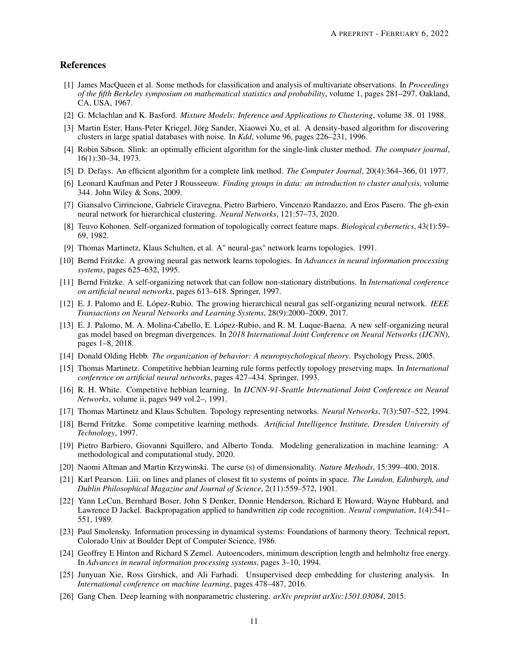## References

- <span id="page-10-0"></span>[1] James MacQueen et al. Some methods for classification and analysis of multivariate observations. In *Proceedings of the fifth Berkeley symposium on mathematical statistics and probability*, volume 1, pages 281–297. Oakland, CA, USA, 1967.
- <span id="page-10-1"></span>[2] G. Mclachlan and K. Basford. *Mixture Models: Inference and Applications to Clustering*, volume 38. 01 1988.
- <span id="page-10-2"></span>[3] Martin Ester, Hans-Peter Kriegel, Jörg Sander, Xiaowei Xu, et al. A density-based algorithm for discovering clusters in large spatial databases with noise. In *Kdd*, volume 96, pages 226–231, 1996.
- <span id="page-10-3"></span>[4] Robin Sibson. Slink: an optimally efficient algorithm for the single-link cluster method. *The computer journal*, 16(1):30–34, 1973.
- <span id="page-10-4"></span>[5] D. Defays. An efficient algorithm for a complete link method. *The Computer Journal*, 20(4):364–366, 01 1977.
- <span id="page-10-5"></span>[6] Leonard Kaufman and Peter J Rousseeuw. *Finding groups in data: an introduction to cluster analysis*, volume 344. John Wiley & Sons, 2009.
- <span id="page-10-6"></span>[7] Giansalvo Cirrincione, Gabriele Ciravegna, Pietro Barbiero, Vincenzo Randazzo, and Eros Pasero. The gh-exin neural network for hierarchical clustering. *Neural Networks*, 121:57–73, 2020.
- <span id="page-10-7"></span>[8] Teuvo Kohonen. Self-organized formation of topologically correct feature maps. *Biological cybernetics*, 43(1):59– 69, 1982.
- <span id="page-10-8"></span>[9] Thomas Martinetz, Klaus Schulten, et al. A" neural-gas" network learns topologies. 1991.
- <span id="page-10-9"></span>[10] Bernd Fritzke. A growing neural gas network learns topologies. In *Advances in neural information processing systems*, pages 625–632, 1995.
- <span id="page-10-10"></span>[11] Bernd Fritzke. A self-organizing network that can follow non-stationary distributions. In *International conference on artificial neural networks*, pages 613–618. Springer, 1997.
- <span id="page-10-11"></span>[12] E. J. Palomo and E. López-Rubio. The growing hierarchical neural gas self-organizing neural network. *IEEE Transactions on Neural Networks and Learning Systems*, 28(9):2000–2009, 2017.
- <span id="page-10-12"></span>[13] E. J. Palomo, M. A. Molina-Cabello, E. López-Rubio, and R. M. Luque-Baena. A new self-organizing neural gas model based on bregman divergences. In *2018 International Joint Conference on Neural Networks (IJCNN)*, pages 1–8, 2018.
- <span id="page-10-13"></span>[14] Donald Olding Hebb. *The organization of behavior: A neuropsychological theory*. Psychology Press, 2005.
- <span id="page-10-14"></span>[15] Thomas Martinetz. Competitive hebbian learning rule forms perfectly topology preserving maps. In *International conference on artificial neural networks*, pages 427–434. Springer, 1993.
- <span id="page-10-15"></span>[16] R. H. White. Competitive hebbian learning. In *IJCNN-91-Seattle International Joint Conference on Neural Networks*, volume ii, pages 949 vol.2–, 1991.
- <span id="page-10-16"></span>[17] Thomas Martinetz and Klaus Schulten. Topology representing networks. *Neural Networks*, 7(3):507–522, 1994.
- <span id="page-10-17"></span>[18] Bernd Fritzke. Some competitive learning methods. *Artificial Intelligence Institute, Dresden University of Technology*, 1997.
- <span id="page-10-18"></span>[19] Pietro Barbiero, Giovanni Squillero, and Alberto Tonda. Modeling generalization in machine learning: A methodological and computational study, 2020.
- <span id="page-10-19"></span>[20] Naomi Altman and Martin Krzywinski. The curse (s) of dimensionality. *Nature Methods*, 15:399–400, 2018.
- <span id="page-10-20"></span>[21] Karl Pearson. Liii. on lines and planes of closest fit to systems of points in space. *The London, Edinburgh, and Dublin Philosophical Magazine and Journal of Science*, 2(11):559–572, 1901.
- <span id="page-10-21"></span>[22] Yann LeCun, Bernhard Boser, John S Denker, Donnie Henderson, Richard E Howard, Wayne Hubbard, and Lawrence D Jackel. Backpropagation applied to handwritten zip code recognition. *Neural computation*, 1(4):541– 551, 1989.
- <span id="page-10-22"></span>[23] Paul Smolensky. Information processing in dynamical systems: Foundations of harmony theory. Technical report, Colorado Univ at Boulder Dept of Computer Science, 1986.
- <span id="page-10-23"></span>[24] Geoffrey E Hinton and Richard S Zemel. Autoencoders, minimum description length and helmholtz free energy. In *Advances in neural information processing systems*, pages 3–10, 1994.
- <span id="page-10-24"></span>[25] Junyuan Xie, Ross Girshick, and Ali Farhadi. Unsupervised deep embedding for clustering analysis. In *International conference on machine learning*, pages 478–487, 2016.
- <span id="page-10-25"></span>[26] Gang Chen. Deep learning with nonparametric clustering. *arXiv preprint arXiv:1501.03084*, 2015.